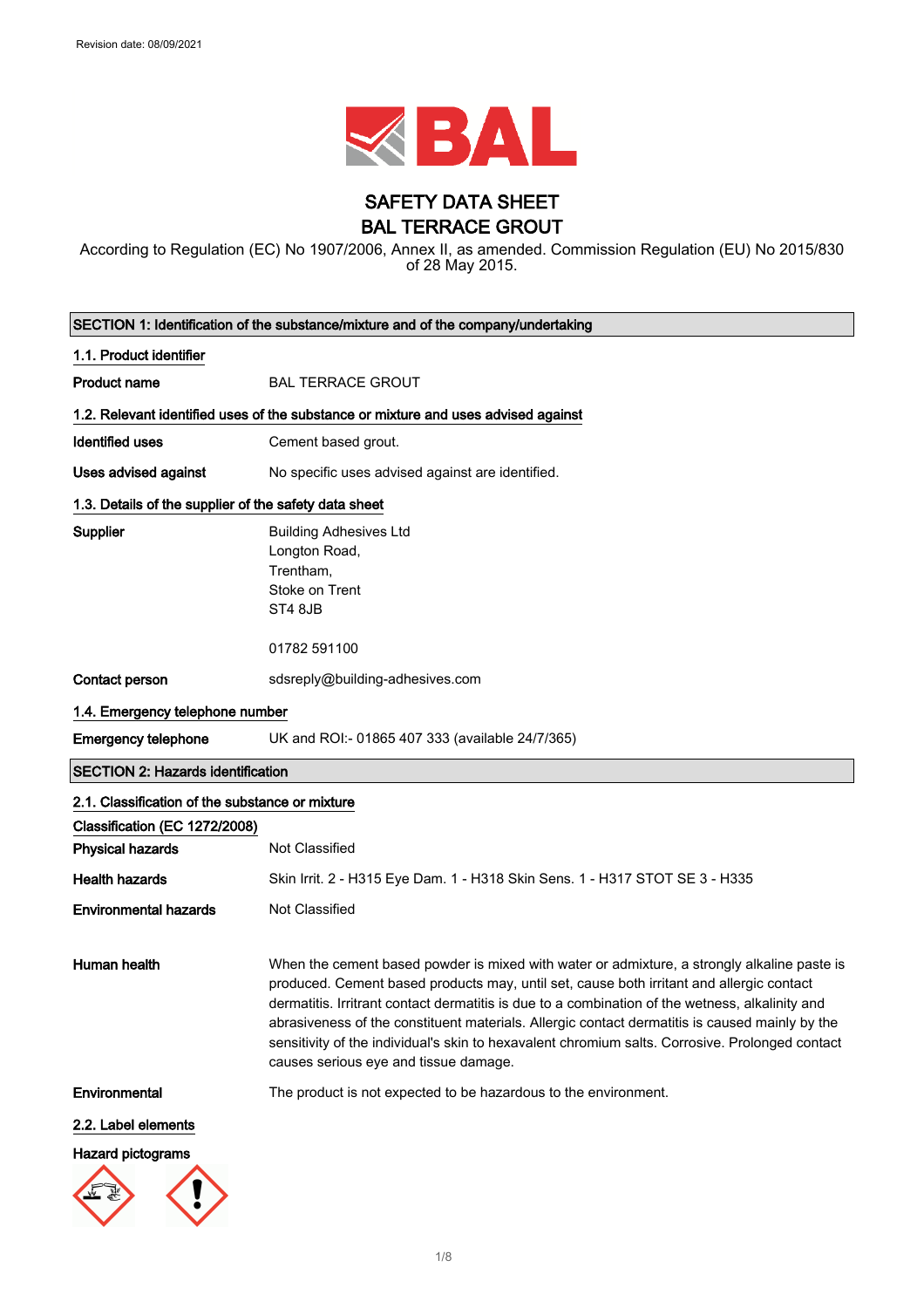

# SAFETY DATA SHEET BAL TERRACE GROUT

According to Regulation (EC) No 1907/2006, Annex II, as amended. Commission Regulation (EU) No 2015/830 of 28 May 2015.

| SECTION 1: Identification of the substance/mixture and of the company/undertaking |                                                                                                                                                                                                                                                                                                                                                                                                                                                                                                                                          |  |
|-----------------------------------------------------------------------------------|------------------------------------------------------------------------------------------------------------------------------------------------------------------------------------------------------------------------------------------------------------------------------------------------------------------------------------------------------------------------------------------------------------------------------------------------------------------------------------------------------------------------------------------|--|
| 1.1. Product identifier                                                           |                                                                                                                                                                                                                                                                                                                                                                                                                                                                                                                                          |  |
| <b>Product name</b>                                                               | <b>BAL TERRACE GROUT</b>                                                                                                                                                                                                                                                                                                                                                                                                                                                                                                                 |  |
|                                                                                   | 1.2. Relevant identified uses of the substance or mixture and uses advised against                                                                                                                                                                                                                                                                                                                                                                                                                                                       |  |
| <b>Identified uses</b>                                                            | Cement based grout.                                                                                                                                                                                                                                                                                                                                                                                                                                                                                                                      |  |
| Uses advised against                                                              | No specific uses advised against are identified.                                                                                                                                                                                                                                                                                                                                                                                                                                                                                         |  |
|                                                                                   | 1.3. Details of the supplier of the safety data sheet                                                                                                                                                                                                                                                                                                                                                                                                                                                                                    |  |
| Supplier                                                                          | <b>Building Adhesives Ltd</b><br>Longton Road,<br>Trentham,<br>Stoke on Trent<br>ST4 8JB                                                                                                                                                                                                                                                                                                                                                                                                                                                 |  |
|                                                                                   | 01782 591100                                                                                                                                                                                                                                                                                                                                                                                                                                                                                                                             |  |
| Contact person                                                                    | sdsreply@building-adhesives.com                                                                                                                                                                                                                                                                                                                                                                                                                                                                                                          |  |
| 1.4. Emergency telephone number                                                   |                                                                                                                                                                                                                                                                                                                                                                                                                                                                                                                                          |  |
| <b>Emergency telephone</b>                                                        | UK and ROI:- 01865 407 333 (available 24/7/365)                                                                                                                                                                                                                                                                                                                                                                                                                                                                                          |  |
| <b>SECTION 2: Hazards identification</b>                                          |                                                                                                                                                                                                                                                                                                                                                                                                                                                                                                                                          |  |
| 2.1. Classification of the substance or mixture                                   |                                                                                                                                                                                                                                                                                                                                                                                                                                                                                                                                          |  |
| Classification (EC 1272/2008)                                                     |                                                                                                                                                                                                                                                                                                                                                                                                                                                                                                                                          |  |
| <b>Physical hazards</b>                                                           | Not Classified                                                                                                                                                                                                                                                                                                                                                                                                                                                                                                                           |  |
| <b>Health hazards</b>                                                             | Skin Irrit. 2 - H315 Eye Dam. 1 - H318 Skin Sens. 1 - H317 STOT SE 3 - H335                                                                                                                                                                                                                                                                                                                                                                                                                                                              |  |
| <b>Environmental hazards</b>                                                      | Not Classified                                                                                                                                                                                                                                                                                                                                                                                                                                                                                                                           |  |
| Human health                                                                      | When the cement based powder is mixed with water or admixture, a strongly alkaline paste is<br>produced. Cement based products may, until set, cause both irritant and allergic contact<br>dermatitis. Irritrant contact dermatitis is due to a combination of the wetness, alkalinity and<br>abrasiveness of the constituent materials. Allergic contact dermatitis is caused mainly by the<br>sensitivity of the individual's skin to hexavalent chromium salts. Corrosive. Prolonged contact<br>causes serious eye and tissue damage. |  |
| Environmental                                                                     | The product is not expected to be hazardous to the environment.                                                                                                                                                                                                                                                                                                                                                                                                                                                                          |  |
| 2.2. Label elements                                                               |                                                                                                                                                                                                                                                                                                                                                                                                                                                                                                                                          |  |
| <b>Hazard pictograms</b>                                                          |                                                                                                                                                                                                                                                                                                                                                                                                                                                                                                                                          |  |
|                                                                                   |                                                                                                                                                                                                                                                                                                                                                                                                                                                                                                                                          |  |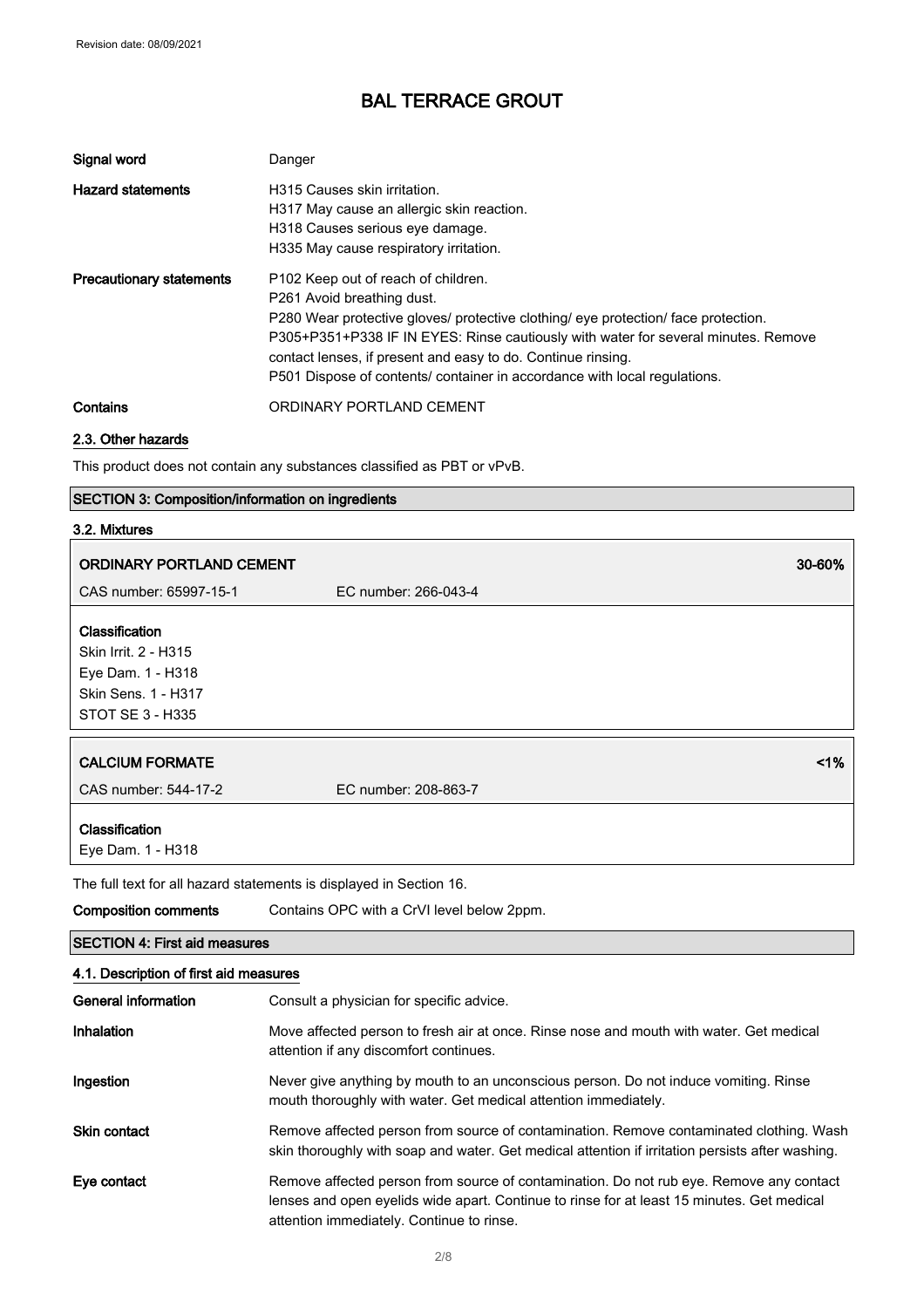| Signal word                     | Danger                                                                                                                                                                                                                                                                                                                                                                                                 |
|---------------------------------|--------------------------------------------------------------------------------------------------------------------------------------------------------------------------------------------------------------------------------------------------------------------------------------------------------------------------------------------------------------------------------------------------------|
| <b>Hazard statements</b>        | H315 Causes skin irritation.<br>H317 May cause an allergic skin reaction.<br>H318 Causes serious eye damage.<br>H335 May cause respiratory irritation.                                                                                                                                                                                                                                                 |
| <b>Precautionary statements</b> | P <sub>102</sub> Keep out of reach of children.<br>P261 Avoid breathing dust.<br>P280 Wear protective gloves/ protective clothing/ eye protection/ face protection.<br>P305+P351+P338 IF IN EYES: Rinse cautiously with water for several minutes. Remove<br>contact lenses, if present and easy to do. Continue rinsing.<br>P501 Dispose of contents/ container in accordance with local regulations. |
| Contains                        | ORDINARY PORTLAND CEMENT                                                                                                                                                                                                                                                                                                                                                                               |

### 2.3. Other hazards

This product does not contain any substances classified as PBT or vPvB.

### SECTION 3: Composition/information on ingredients

#### 3.2. Mixtures

| <b>ORDINARY PORTLAND CEMENT</b>                                                                                  |                      | 30-60% |
|------------------------------------------------------------------------------------------------------------------|----------------------|--------|
| CAS number: 65997-15-1                                                                                           | EC number: 266-043-4 |        |
| Classification<br>Skin Irrit. 2 - H315<br>Eye Dam. 1 - H318<br>Skin Sens. 1 - H317<br>STOT SE 3 - H335           |                      |        |
| <b>CALCIUM FORMATE</b>                                                                                           |                      | 1%     |
| CAS number: 544-17-2                                                                                             | EC number: 208-863-7 |        |
| Classification<br>Eye Dam. 1 - H318<br>The full field for all because interesting to distribute the Opening $AO$ |                      |        |

The full text for all hazard statements is displayed in Section 16.

| <b>Composition comments</b>            | Contains OPC with a CrVI level below 2ppm.                                                                                                                                                                                         |
|----------------------------------------|------------------------------------------------------------------------------------------------------------------------------------------------------------------------------------------------------------------------------------|
| <b>SECTION 4: First aid measures</b>   |                                                                                                                                                                                                                                    |
| 4.1. Description of first aid measures |                                                                                                                                                                                                                                    |
| General information                    | Consult a physician for specific advice.                                                                                                                                                                                           |
| Inhalation                             | Move affected person to fresh air at once. Rinse nose and mouth with water. Get medical<br>attention if any discomfort continues.                                                                                                  |
| Ingestion                              | Never give anything by mouth to an unconscious person. Do not induce vomiting. Rinse<br>mouth thoroughly with water. Get medical attention immediately.                                                                            |
| Skin contact                           | Remove affected person from source of contamination. Remove contaminated clothing. Wash<br>skin thoroughly with soap and water. Get medical attention if irritation persists after washing.                                        |
| Eye contact                            | Remove affected person from source of contamination. Do not rub eye. Remove any contact<br>lenses and open eyelids wide apart. Continue to rinse for at least 15 minutes. Get medical<br>attention immediately. Continue to rinse. |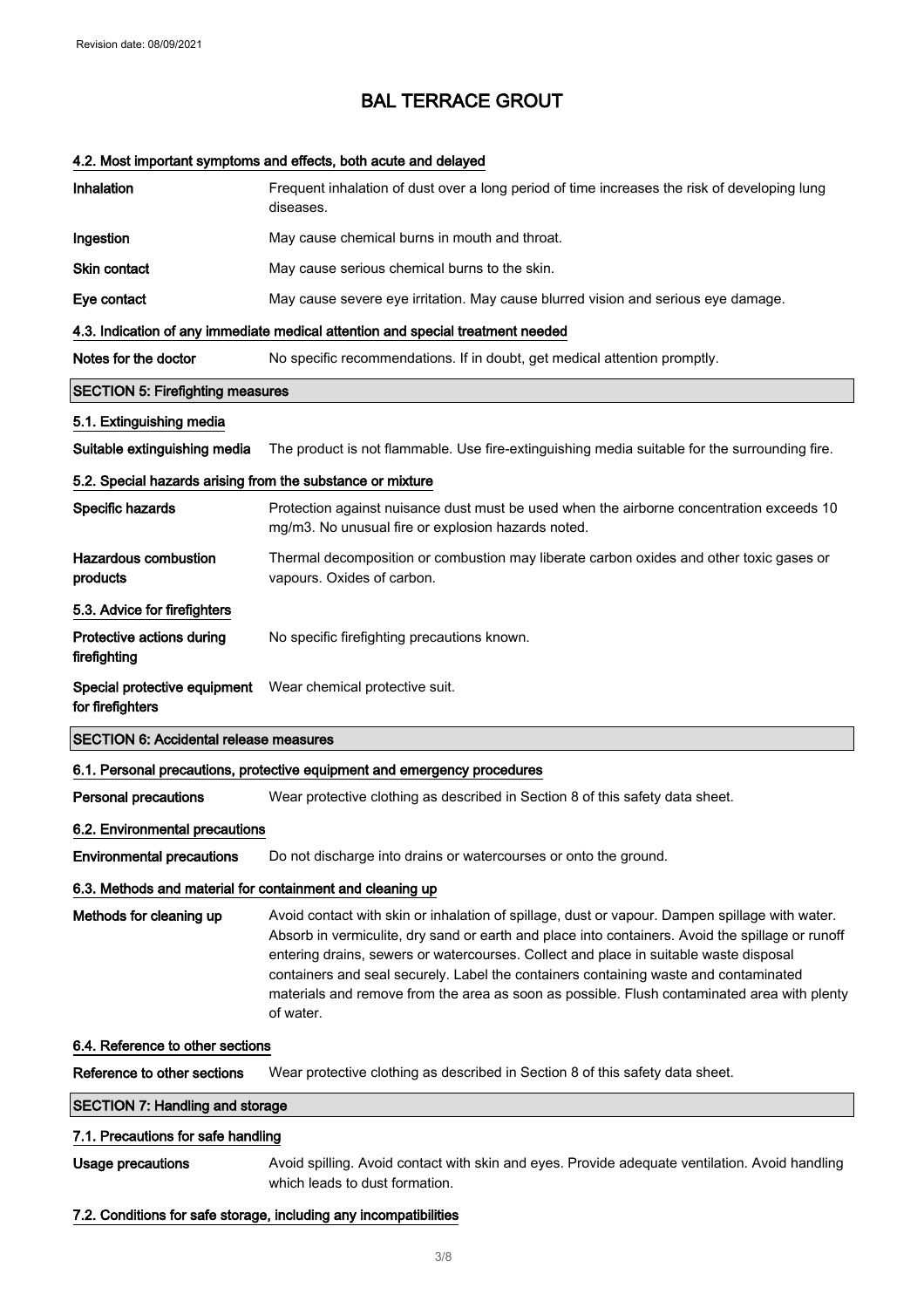#### 4.2. Most important symptoms and effects, both acute and delayed

| Inhalation                                                 | Frequent inhalation of dust over a long period of time increases the risk of developing lung<br>diseases.                                                                                                                                                                                                                                                                                                                                                                                       |
|------------------------------------------------------------|-------------------------------------------------------------------------------------------------------------------------------------------------------------------------------------------------------------------------------------------------------------------------------------------------------------------------------------------------------------------------------------------------------------------------------------------------------------------------------------------------|
| Ingestion                                                  | May cause chemical burns in mouth and throat.                                                                                                                                                                                                                                                                                                                                                                                                                                                   |
| Skin contact                                               | May cause serious chemical burns to the skin.                                                                                                                                                                                                                                                                                                                                                                                                                                                   |
| Eye contact                                                | May cause severe eye irritation. May cause blurred vision and serious eye damage.                                                                                                                                                                                                                                                                                                                                                                                                               |
|                                                            | 4.3. Indication of any immediate medical attention and special treatment needed                                                                                                                                                                                                                                                                                                                                                                                                                 |
| Notes for the doctor                                       | No specific recommendations. If in doubt, get medical attention promptly.                                                                                                                                                                                                                                                                                                                                                                                                                       |
| <b>SECTION 5: Firefighting measures</b>                    |                                                                                                                                                                                                                                                                                                                                                                                                                                                                                                 |
| 5.1. Extinguishing media                                   |                                                                                                                                                                                                                                                                                                                                                                                                                                                                                                 |
| Suitable extinguishing media                               | The product is not flammable. Use fire-extinguishing media suitable for the surrounding fire.                                                                                                                                                                                                                                                                                                                                                                                                   |
| 5.2. Special hazards arising from the substance or mixture |                                                                                                                                                                                                                                                                                                                                                                                                                                                                                                 |
| Specific hazards                                           | Protection against nuisance dust must be used when the airborne concentration exceeds 10<br>mg/m3. No unusual fire or explosion hazards noted.                                                                                                                                                                                                                                                                                                                                                  |
| <b>Hazardous combustion</b><br>products                    | Thermal decomposition or combustion may liberate carbon oxides and other toxic gases or<br>vapours. Oxides of carbon.                                                                                                                                                                                                                                                                                                                                                                           |
| 5.3. Advice for firefighters                               |                                                                                                                                                                                                                                                                                                                                                                                                                                                                                                 |
| Protective actions during<br>firefighting                  | No specific firefighting precautions known.                                                                                                                                                                                                                                                                                                                                                                                                                                                     |
| for firefighters                                           | Special protective equipment  Wear chemical protective suit.                                                                                                                                                                                                                                                                                                                                                                                                                                    |
| <b>SECTION 6: Accidental release measures</b>              |                                                                                                                                                                                                                                                                                                                                                                                                                                                                                                 |
|                                                            | 6.1. Personal precautions, protective equipment and emergency procedures                                                                                                                                                                                                                                                                                                                                                                                                                        |
|                                                            |                                                                                                                                                                                                                                                                                                                                                                                                                                                                                                 |
| <b>Personal precautions</b>                                | Wear protective clothing as described in Section 8 of this safety data sheet.                                                                                                                                                                                                                                                                                                                                                                                                                   |
| 6.2. Environmental precautions                             |                                                                                                                                                                                                                                                                                                                                                                                                                                                                                                 |
| <b>Environmental precautions</b>                           | Do not discharge into drains or watercourses or onto the ground.                                                                                                                                                                                                                                                                                                                                                                                                                                |
| 6.3. Methods and material for containment and cleaning up  |                                                                                                                                                                                                                                                                                                                                                                                                                                                                                                 |
| Methods for cleaning up                                    | Avoid contact with skin or inhalation of spillage, dust or vapour. Dampen spillage with water.<br>Absorb in vermiculite, dry sand or earth and place into containers. Avoid the spillage or runoff<br>entering drains, sewers or watercourses. Collect and place in suitable waste disposal<br>containers and seal securely. Label the containers containing waste and contaminated<br>materials and remove from the area as soon as possible. Flush contaminated area with plenty<br>of water. |
| 6.4. Reference to other sections                           |                                                                                                                                                                                                                                                                                                                                                                                                                                                                                                 |
| Reference to other sections                                | Wear protective clothing as described in Section 8 of this safety data sheet.                                                                                                                                                                                                                                                                                                                                                                                                                   |
| <b>SECTION 7: Handling and storage</b>                     |                                                                                                                                                                                                                                                                                                                                                                                                                                                                                                 |
| 7.1. Precautions for safe handling                         |                                                                                                                                                                                                                                                                                                                                                                                                                                                                                                 |
| <b>Usage precautions</b>                                   | Avoid spilling. Avoid contact with skin and eyes. Provide adequate ventilation. Avoid handling<br>which leads to dust formation.                                                                                                                                                                                                                                                                                                                                                                |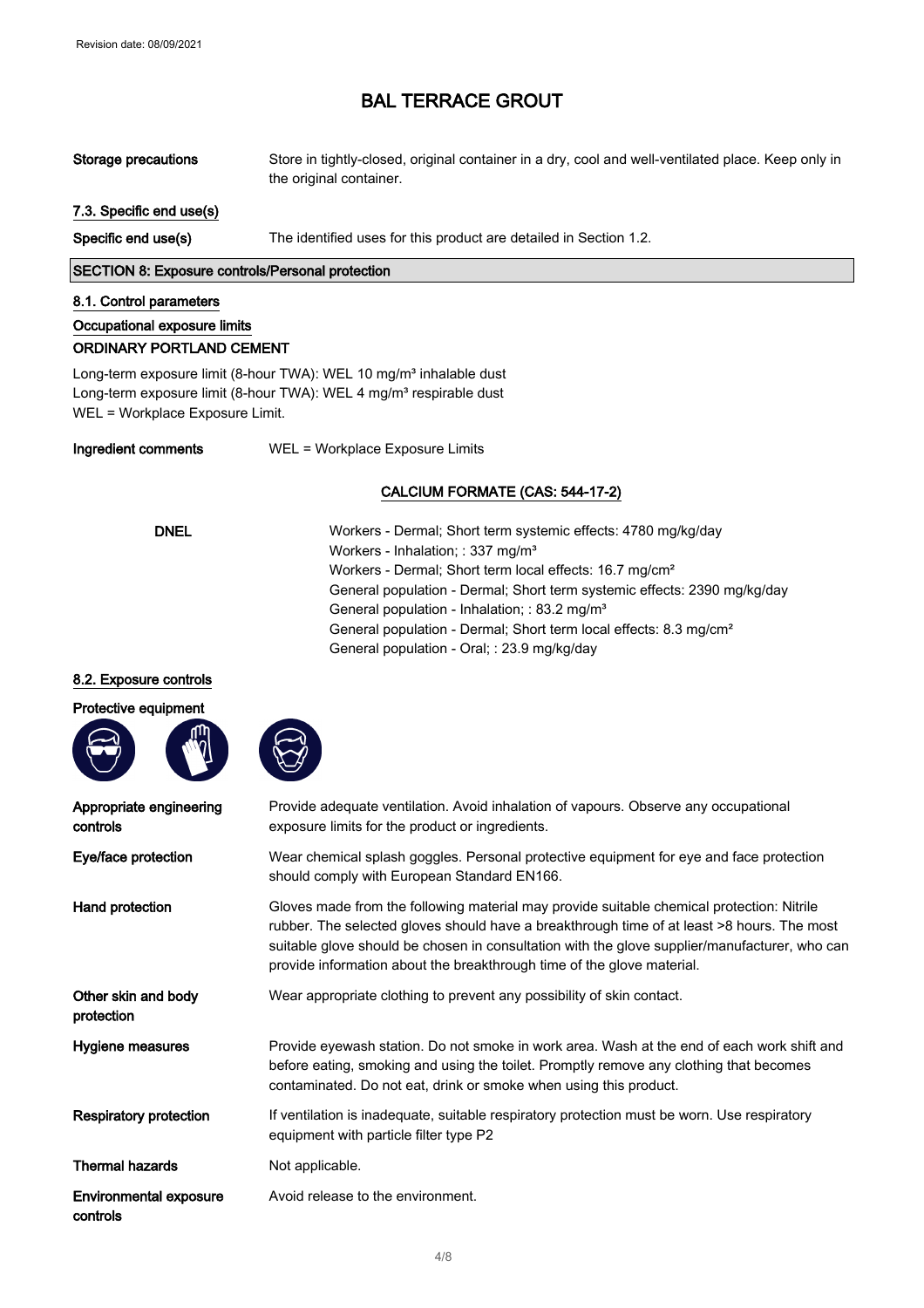Storage precautions Store in tightly-closed, original container in a dry, cool and well-ventilated place. Keep only in the original container.

#### 7.3. Specific end use(s)

Specific end use(s) The identified uses for this product are detailed in Section 1.2.

SECTION 8: Exposure controls/Personal protection

#### 8.1. Control parameters

# Occupational exposure limits

### ORDINARY PORTLAND CEMENT

Long-term exposure limit (8-hour TWA): WEL 10 mg/m<sup>3</sup> inhalable dust Long-term exposure limit (8-hour TWA): WEL 4 mg/m<sup>3</sup> respirable dust WEL = Workplace Exposure Limit.

Ingredient comments WEL = Workplace Exposure Limits

#### CALCIUM FORMATE (CAS: 544-17-2)

DNEL Workers - Dermal; Short term systemic effects: 4780 mg/kg/day Workers - Inhalation; : 337 mg/m<sup>3</sup> Workers - Dermal; Short term local effects: 16.7 mg/cm² General population - Dermal; Short term systemic effects: 2390 mg/kg/day General population - Inhalation; : 83.2 mg/m<sup>3</sup> General population - Dermal; Short term local effects: 8.3 mg/cm² General population - Oral; : 23.9 mg/kg/day

#### 8.2. Exposure controls





| Appropriate engineering<br>controls       | Provide adequate ventilation. Avoid inhalation of vapours. Observe any occupational<br>exposure limits for the product or ingredients.                                                                                                                                                                                                                             |
|-------------------------------------------|--------------------------------------------------------------------------------------------------------------------------------------------------------------------------------------------------------------------------------------------------------------------------------------------------------------------------------------------------------------------|
| Eye/face protection                       | Wear chemical splash goggles. Personal protective equipment for eye and face protection<br>should comply with European Standard EN166.                                                                                                                                                                                                                             |
| Hand protection                           | Gloves made from the following material may provide suitable chemical protection: Nitrile<br>rubber. The selected gloves should have a breakthrough time of at least >8 hours. The most<br>suitable glove should be chosen in consultation with the glove supplier/manufacturer, who can<br>provide information about the breakthrough time of the glove material. |
| Other skin and body<br>protection         | Wear appropriate clothing to prevent any possibility of skin contact.                                                                                                                                                                                                                                                                                              |
| Hygiene measures                          | Provide eyewash station. Do not smoke in work area. Wash at the end of each work shift and<br>before eating, smoking and using the toilet. Promptly remove any clothing that becomes<br>contaminated. Do not eat, drink or smoke when using this product.                                                                                                          |
| <b>Respiratory protection</b>             | If ventilation is inadequate, suitable respiratory protection must be worn. Use respiratory<br>equipment with particle filter type P2                                                                                                                                                                                                                              |
| <b>Thermal hazards</b>                    | Not applicable.                                                                                                                                                                                                                                                                                                                                                    |
| <b>Environmental exposure</b><br>controls | Avoid release to the environment.                                                                                                                                                                                                                                                                                                                                  |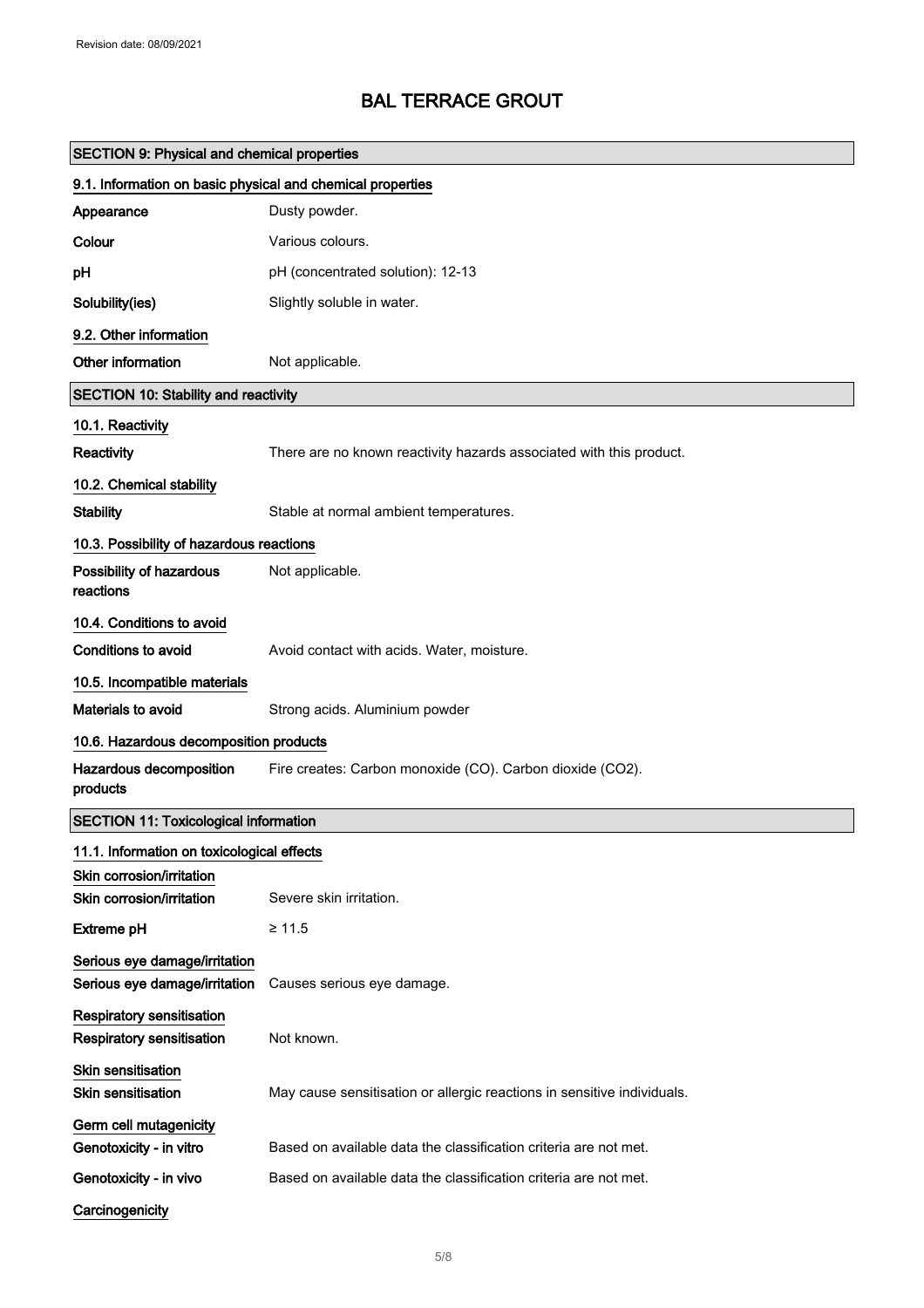| <b>SECTION 9: Physical and chemical properties</b>                   |                                                                         |
|----------------------------------------------------------------------|-------------------------------------------------------------------------|
| 9.1. Information on basic physical and chemical properties           |                                                                         |
| Appearance                                                           | Dusty powder.                                                           |
| Colour                                                               | Various colours.                                                        |
| pH                                                                   | pH (concentrated solution): 12-13                                       |
| Solubility(ies)                                                      | Slightly soluble in water.                                              |
| 9.2. Other information                                               |                                                                         |
| Other information                                                    | Not applicable.                                                         |
| <b>SECTION 10: Stability and reactivity</b>                          |                                                                         |
| 10.1. Reactivity                                                     |                                                                         |
| Reactivity                                                           | There are no known reactivity hazards associated with this product.     |
| 10.2. Chemical stability                                             |                                                                         |
| <b>Stability</b>                                                     | Stable at normal ambient temperatures.                                  |
| 10.3. Possibility of hazardous reactions                             |                                                                         |
| Possibility of hazardous<br>reactions                                | Not applicable.                                                         |
| 10.4. Conditions to avoid                                            |                                                                         |
| <b>Conditions to avoid</b>                                           | Avoid contact with acids. Water, moisture.                              |
| 10.5. Incompatible materials                                         |                                                                         |
| Materials to avoid                                                   | Strong acids. Aluminium powder                                          |
| 10.6. Hazardous decomposition products                               |                                                                         |
| Hazardous decomposition<br>products                                  | Fire creates: Carbon monoxide (CO). Carbon dioxide (CO2).               |
| <b>SECTION 11: Toxicological information</b>                         |                                                                         |
| 11.1. Information on toxicological effects                           |                                                                         |
| Skin corrosion/irritation<br>Skin corrosion/irritation               | Severe skin irritation.                                                 |
| <b>Extreme pH</b>                                                    | $\geq 11.5$                                                             |
| Serious eye damage/irritation<br>Serious eye damage/irritation       | Causes serious eye damage.                                              |
| <b>Respiratory sensitisation</b><br><b>Respiratory sensitisation</b> | Not known.                                                              |
| Skin sensitisation<br><b>Skin sensitisation</b>                      | May cause sensitisation or allergic reactions in sensitive individuals. |
| Germ cell mutagenicity                                               |                                                                         |
| Genotoxicity - in vitro                                              | Based on available data the classification criteria are not met.        |
| Genotoxicity - in vivo                                               | Based on available data the classification criteria are not met.        |
| Carcinogenicity                                                      |                                                                         |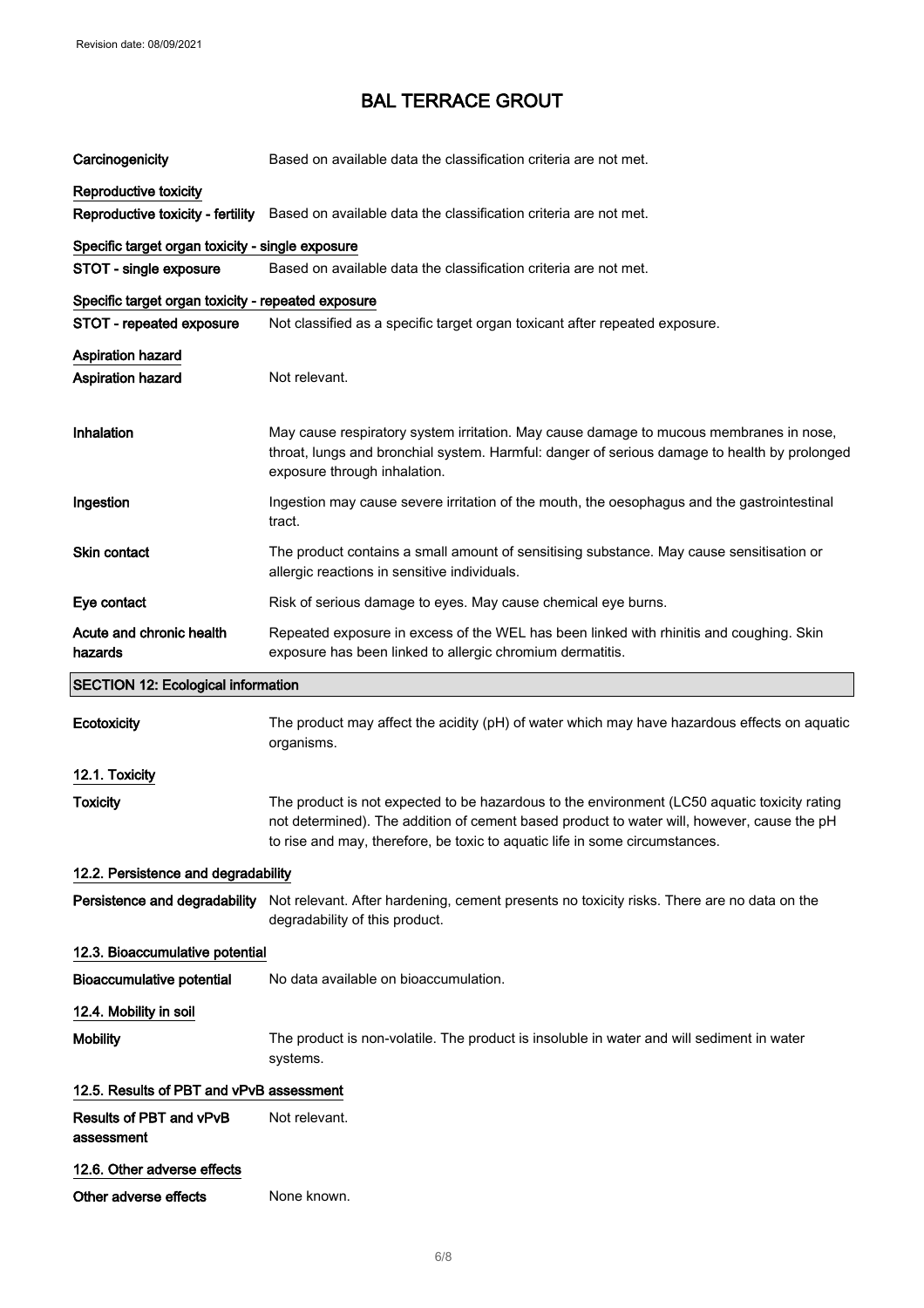| Carcinogenicity                                    | Based on available data the classification criteria are not met.                                                                                                                                                                                                          |  |
|----------------------------------------------------|---------------------------------------------------------------------------------------------------------------------------------------------------------------------------------------------------------------------------------------------------------------------------|--|
| Reproductive toxicity                              |                                                                                                                                                                                                                                                                           |  |
| Reproductive toxicity - fertility                  | Based on available data the classification criteria are not met.                                                                                                                                                                                                          |  |
| Specific target organ toxicity - single exposure   |                                                                                                                                                                                                                                                                           |  |
| STOT - single exposure                             | Based on available data the classification criteria are not met.                                                                                                                                                                                                          |  |
| Specific target organ toxicity - repeated exposure |                                                                                                                                                                                                                                                                           |  |
| STOT - repeated exposure                           | Not classified as a specific target organ toxicant after repeated exposure.                                                                                                                                                                                               |  |
| <b>Aspiration hazard</b>                           |                                                                                                                                                                                                                                                                           |  |
| <b>Aspiration hazard</b>                           | Not relevant.                                                                                                                                                                                                                                                             |  |
| Inhalation                                         | May cause respiratory system irritation. May cause damage to mucous membranes in nose,<br>throat, lungs and bronchial system. Harmful: danger of serious damage to health by prolonged<br>exposure through inhalation.                                                    |  |
| Ingestion                                          | Ingestion may cause severe irritation of the mouth, the oesophagus and the gastrointestinal<br>tract.                                                                                                                                                                     |  |
| Skin contact                                       | The product contains a small amount of sensitising substance. May cause sensitisation or<br>allergic reactions in sensitive individuals.                                                                                                                                  |  |
| Eye contact                                        | Risk of serious damage to eyes. May cause chemical eye burns.                                                                                                                                                                                                             |  |
| Acute and chronic health<br>hazards                | Repeated exposure in excess of the WEL has been linked with rhinitis and coughing. Skin<br>exposure has been linked to allergic chromium dermatitis.                                                                                                                      |  |
| <b>SECTION 12: Ecological information</b>          |                                                                                                                                                                                                                                                                           |  |
|                                                    |                                                                                                                                                                                                                                                                           |  |
| Ecotoxicity                                        | The product may affect the acidity (pH) of water which may have hazardous effects on aquatic<br>organisms.                                                                                                                                                                |  |
| 12.1. Toxicity                                     |                                                                                                                                                                                                                                                                           |  |
| <b>Toxicity</b>                                    | The product is not expected to be hazardous to the environment (LC50 aquatic toxicity rating<br>not determined). The addition of cement based product to water will, however, cause the pH<br>to rise and may, therefore, be toxic to aquatic life in some circumstances. |  |
| 12.2. Persistence and degradability                |                                                                                                                                                                                                                                                                           |  |
| Persistence and degradability                      | Not relevant. After hardening, cement presents no toxicity risks. There are no data on the<br>degradability of this product.                                                                                                                                              |  |
| 12.3. Bioaccumulative potential                    |                                                                                                                                                                                                                                                                           |  |
| <b>Bioaccumulative potential</b>                   | No data available on bioaccumulation.                                                                                                                                                                                                                                     |  |
| 12.4. Mobility in soil                             |                                                                                                                                                                                                                                                                           |  |
| <b>Mobility</b>                                    | The product is non-volatile. The product is insoluble in water and will sediment in water<br>systems.                                                                                                                                                                     |  |
| 12.5. Results of PBT and vPvB assessment           |                                                                                                                                                                                                                                                                           |  |
| Results of PBT and vPvB<br>assessment              | Not relevant.                                                                                                                                                                                                                                                             |  |
| 12.6. Other adverse effects                        |                                                                                                                                                                                                                                                                           |  |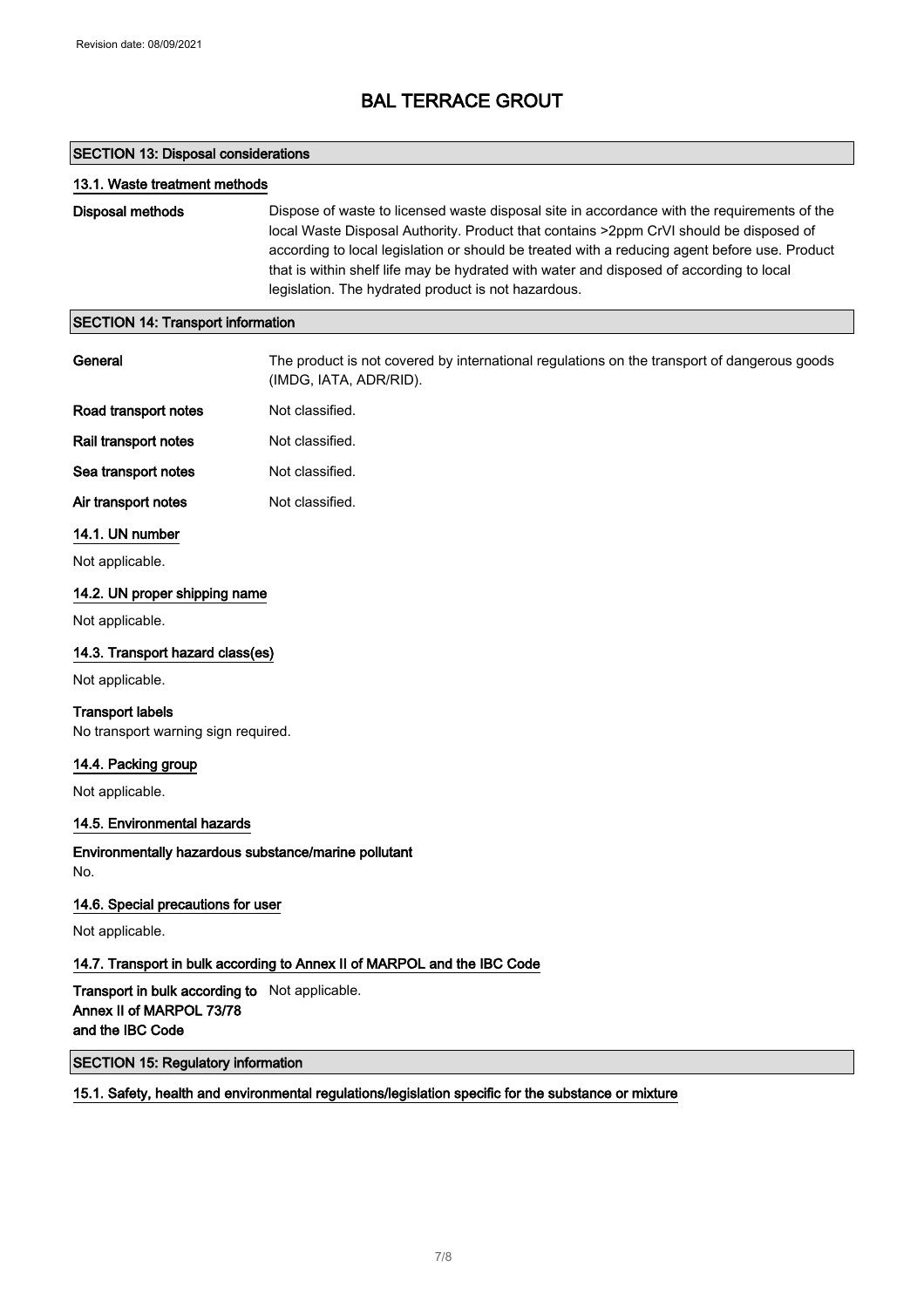#### SECTION 13: Disposal considerations

#### 13.1. Waste treatment methods

Disposal methods Dispose of waste to licensed waste disposal site in accordance with the requirements of the local Waste Disposal Authority. Product that contains >2ppm CrVI should be disposed of according to local legislation or should be treated with a reducing agent before use. Product that is within shelf life may be hydrated with water and disposed of according to local legislation. The hydrated product is not hazardous.

#### SECTION 14: Transport information

| General                                                                                        | The product is not covered by international regulations on the transport of dangerous goods<br>(IMDG, IATA, ADR/RID). |
|------------------------------------------------------------------------------------------------|-----------------------------------------------------------------------------------------------------------------------|
| Road transport notes                                                                           | Not classified.                                                                                                       |
| Rail transport notes                                                                           | Not classified.                                                                                                       |
| Sea transport notes                                                                            | Not classified.                                                                                                       |
| Air transport notes                                                                            | Not classified.                                                                                                       |
| 14.1. UN number                                                                                |                                                                                                                       |
| Not applicable.                                                                                |                                                                                                                       |
| 14.2. UN proper shipping name                                                                  |                                                                                                                       |
| Not applicable.                                                                                |                                                                                                                       |
| 14.3. Transport hazard class(es)                                                               |                                                                                                                       |
| Not applicable.                                                                                |                                                                                                                       |
| <b>Transport labels</b><br>No transport warning sign required.                                 |                                                                                                                       |
| 14.4. Packing group                                                                            |                                                                                                                       |
| Not applicable.                                                                                |                                                                                                                       |
| 14.5. Environmental hazards                                                                    |                                                                                                                       |
| Environmentally hazardous substance/marine pollutant<br>No.                                    |                                                                                                                       |
| 14.6. Special precautions for user                                                             |                                                                                                                       |
| Not applicable.                                                                                |                                                                                                                       |
|                                                                                                | 14.7. Transport in bulk according to Annex II of MARPOL and the IBC Code                                              |
| Transport in bulk according to Not applicable.<br>Annex II of MARPOL 73/78<br>and the IBC Code |                                                                                                                       |
| <b>SECTION 15: Regulatory information</b>                                                      |                                                                                                                       |

#### 15.1. Safety, health and environmental regulations/legislation specific for the substance or mixture